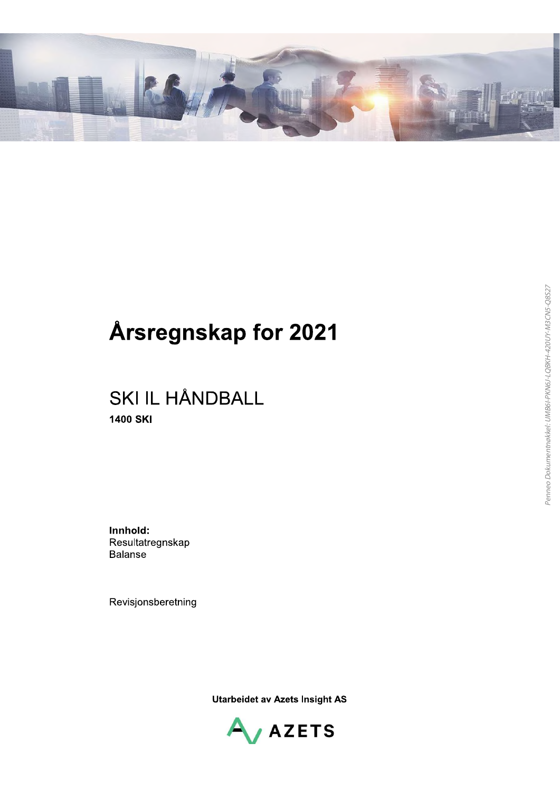

## Årsregnskap for 2021

## **SKI IL HÅNDBALL 1400 SKI**

Innhold: Resultatregnskap **Balanse** 

Revisjonsberetning

**Utarbeidet av Azets Insight AS** 

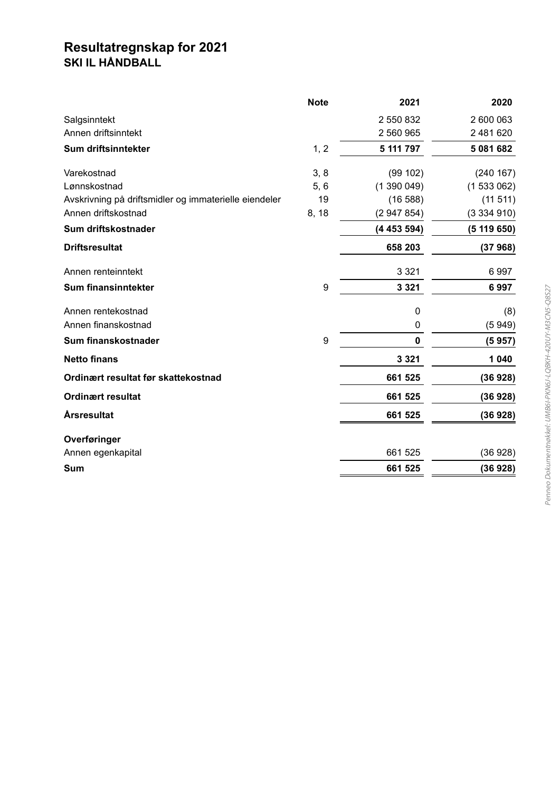# Resultatregnskap for 2021<br>SKI IL HÅNDBALL

|                                                       | <b>Note</b> | 2021        | 2020        |
|-------------------------------------------------------|-------------|-------------|-------------|
| Salgsinntekt                                          |             | 2 550 832   | 2 600 063   |
| Annen driftsinntekt                                   |             | 2 560 965   | 2 481 620   |
| Sum driftsinntekter                                   | 1, 2        | 5 111 797   | 5 081 682   |
| Varekostnad                                           | 3, 8        | (99 102)    | (240 167)   |
| Lønnskostnad                                          | 5, 6        | (1390049)   | (1533062)   |
| Avskrivning på driftsmidler og immaterielle eiendeler | 19          | (16588)     | (11 511)    |
| Annen driftskostnad                                   | 8, 18       | (2947854)   | (3334910)   |
| Sum driftskostnader                                   |             | (4453594)   | (5 119 650) |
| <b>Driftsresultat</b>                                 |             | 658 203     | (37968)     |
| Annen renteinntekt                                    |             | 3 3 2 1     | 6997        |
| Sum finansinntekter                                   | 9           | 3 3 2 1     | 6997        |
| Annen rentekostnad                                    |             | $\mathbf 0$ | (8)         |
| Annen finanskostnad                                   |             | 0           | (5949)      |
| Sum finanskostnader                                   | 9           | 0           | (5957)      |
| <b>Netto finans</b>                                   |             | 3 3 2 1     | 1 0 4 0     |
| Ordinært resultat før skattekostnad                   |             | 661 525     | (36928)     |
| <b>Ordinært resultat</b>                              |             | 661 525     | (36928)     |
| <b>Årsresultat</b>                                    |             | 661 525     | (36928)     |
| Overføringer                                          |             |             |             |
| Annen egenkapital                                     |             | 661 525     | (36928)     |
| Sum                                                   |             | 661 525     | (36928)     |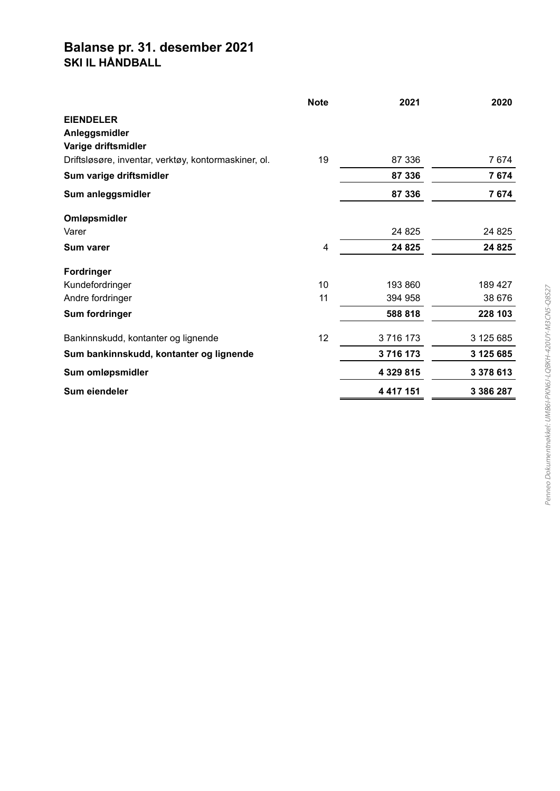#### Balanse pr. 31. desember 2021 SKI IL HÅNDBALL

|                                                      | <b>Note</b> | 2021          | 2020      |
|------------------------------------------------------|-------------|---------------|-----------|
| <b>EIENDELER</b>                                     |             |               |           |
| Anleggsmidler                                        |             |               |           |
| Varige driftsmidler                                  |             |               |           |
| Driftsløsøre, inventar, verktøy, kontormaskiner, ol. | 19          | 87 336        | 7674      |
| Sum varige driftsmidler                              |             | 87 336        | 7674      |
| Sum anleggsmidler                                    |             | 87 336        | 7674      |
| Omløpsmidler                                         |             |               |           |
| Varer                                                |             | 24 8 25       | 24 8 25   |
| <b>Sum varer</b>                                     | 4           | 24 8 25       | 24 8 25   |
| <b>Fordringer</b>                                    |             |               |           |
| Kundefordringer                                      | 10          | 193 860       | 189 427   |
| Andre fordringer                                     | 11          | 394 958       | 38 676    |
| Sum fordringer                                       |             | 588 818       | 228 103   |
| Bankinnskudd, kontanter og lignende                  | 12          | 3716173       | 3 125 685 |
| Sum bankinnskudd, kontanter og lignende              |             | 3716173       | 3 125 685 |
| Sum omløpsmidler                                     |             | 4 3 29 8 15   | 3 378 613 |
| Sum eiendeler                                        |             | 4 4 1 7 1 5 1 | 3 386 287 |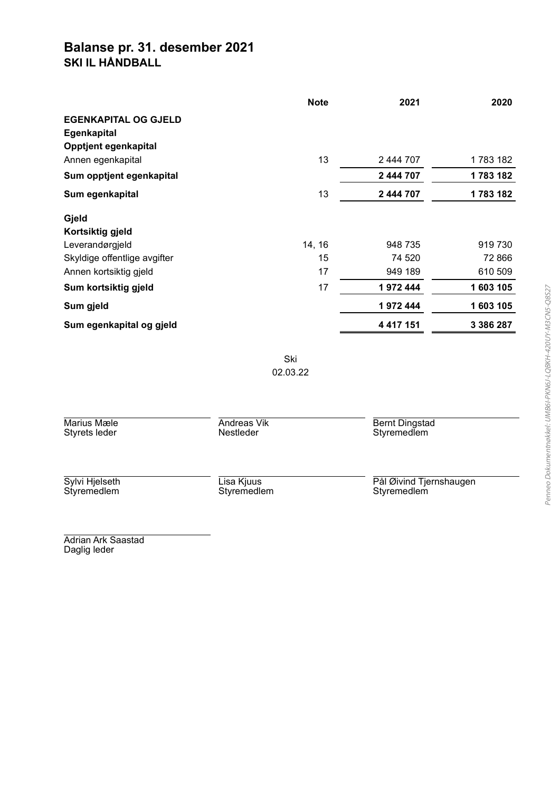#### Balanse pr. 31. desember 2021 SKI IL HÅNDBALL

|                              | <b>Note</b> | 2021          | 2020      |
|------------------------------|-------------|---------------|-----------|
| <b>EGENKAPITAL OG GJELD</b>  |             |               |           |
| <b>Egenkapital</b>           |             |               |           |
| Opptjent egenkapital         |             |               |           |
| Annen egenkapital            | 13          | 2 444 707     | 1783182   |
| Sum opptjent egenkapital     |             | 2 444 707     | 1 783 182 |
| Sum egenkapital              | 13          | 2 444 707     | 1783182   |
| Gjeld                        |             |               |           |
| Kortsiktig gjeld             |             |               |           |
| Leverandørgjeld              | 14, 16      | 948 735       | 919730    |
| Skyldige offentlige avgifter | 15          | 74 520        | 72 866    |
| Annen kortsiktig gjeld       | 17          | 949 189       | 610 509   |
| Sum kortsiktig gjeld         | 17          | 1972444       | 1 603 105 |
| Sum gjeld                    |             | 1972444       | 1 603 105 |
| Sum egenkapital og gjeld     |             | 4 4 1 7 1 5 1 | 3 386 287 |

Ski 02.03.22

| Marius Mæle<br>Styrets leder  | Andreas Vik<br>Nestleder  | <b>Bernt Dingstad</b><br>Styremedlem   |
|-------------------------------|---------------------------|----------------------------------------|
| Sylvi Hjelseth<br>Styremedlem | Lisa Kjuus<br>Styremedlem | Pål Øivind Tjernshaugen<br>Styremedlem |
| .                             |                           |                                        |

Adrian Ark Saastad Daglig leder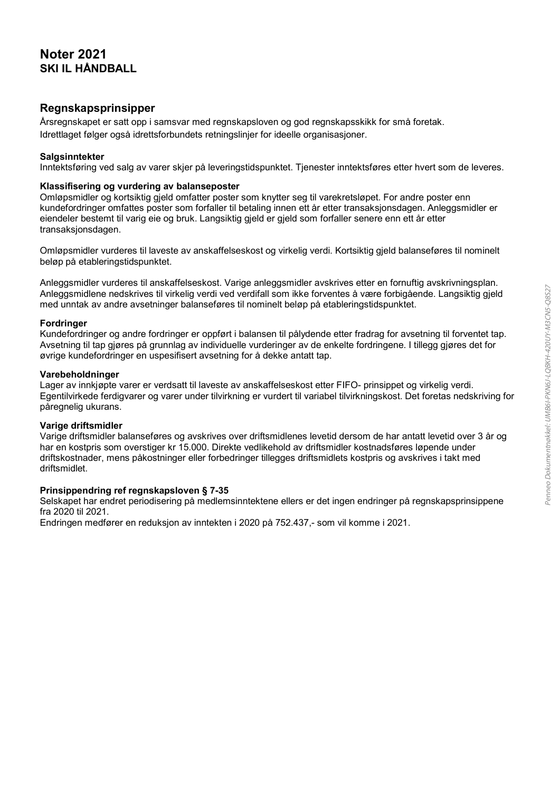#### **Noter 2021 SKI IL HÅNDBALL**

#### Regnskapsprinsipper

Årsregnskapet er satt opp i samsvar med regnskapsloven og god regnskapsskikk for små foretak. Idrettlaget følger også idrettsforbundets retningslinier for ideelle organisasioner.

#### **Salgsinntekter**

Inntektsføring ved salg av varer skjer på leveringstidspunktet. Tjenester inntektsføres etter hvert som de leveres.

#### Klassifisering og vurdering av balanseposter

Omløpsmidler og kortsiktig gjeld omfatter poster som knytter seg til varekretsløpet. For andre poster enn kundefordringer omfattes poster som forfaller til betaling innen ett år etter transaksjonsdagen. Anleggsmidler er eiendeler bestemt til varig eie og bruk. Langsiktig gjeld er gjeld som forfaller senere enn ett år etter transaksionsdagen.

Omløpsmidler vurderes til laveste av anskaffelseskost og virkelig verdi. Kortsiktig gjeld balanseføres til nominelt beløp på etableringstidspunktet.

Anleggsmidler vurderes til anskaffelseskost. Varige anleggsmidler avskrives etter en fornuftig avskrivningsplan. Anlegasmidlene nedskrives til virkelig verdi ved verdifall som ikke forventes å være forbigående. Langsiktig gjeld med unntak av andre avsetninger balanseføres til nominelt beløp på etableringstidspunktet.

#### **Fordringer**

Kundefordringer og andre fordringer er oppført i balansen til pålydende etter fradrag for avsetning til forventet tap. Avsetning til tap gjøres på grunnlag av individuelle vurderinger av de enkelte fordringene. I tillegg gjøres det for øvrige kundefordringer en uspesifisert avsetning for å dekke antatt tap.

#### Varebeholdninger

Lager av innkjøpte varer er verdsatt til laveste av anskaffelseskost etter FIFO- prinsippet og virkelig verdi. Egentilvirkede ferdigvarer og varer under tilvirkning er vurdert til variabel tilvirkningskost. Det foretas nedskriving for påregnelig ukurans.

#### Varige driftsmidler

Varige driftsmidler balanseføres og avskrives over driftsmidlenes levetid dersom de har antatt levetid over 3 år og har en kostpris som overstiger kr 15.000. Direkte vedlikehold av driftsmidler kostnadsføres løpende under driftskostnader, mens påkostninger eller forbedringer tillegges driftsmidlets kostpris og avskrives i takt med driftsmidlet.

#### Prinsippendring ref regnskapsloven § 7-35

Selskapet har endret periodisering på medlemsinntektene ellers er det ingen endringer på regnskapsprinsippene fra 2020 til 2021.

Endringen medfører en reduksjon av inntekten i 2020 på 752.437,- som vil komme i 2021.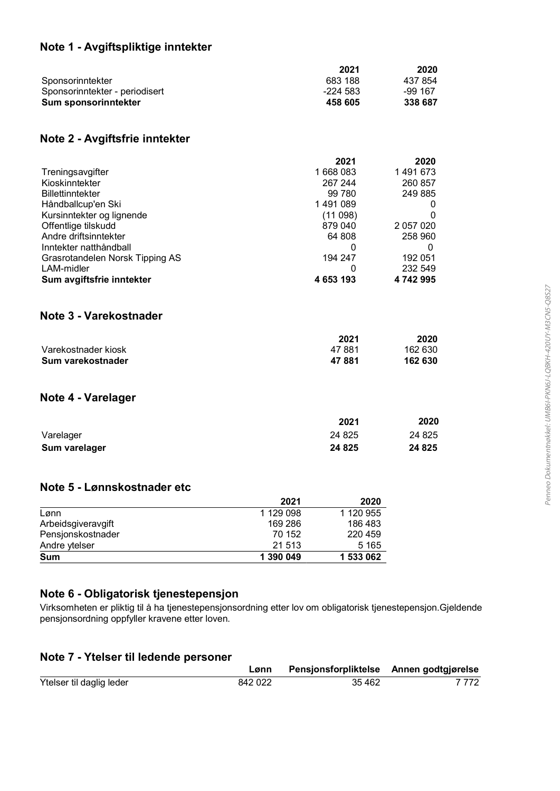#### Note 1 - Avgiftspliktige inntekter

|                                | 2021     | 2020      |
|--------------------------------|----------|-----------|
| Sponsorinntekter               | 683 188  | 437 854   |
| Sponsorinntekter - periodisert | -224 583 | $-99.167$ |
| Sum sponsorinntekter           | 458 605  | 338 687   |

#### Note 2 - Avgiftsfrie inntekter

|                                 | 2021      | 2020      |
|---------------------------------|-----------|-----------|
| Treningsavgifter                | 1 668 083 | 1491673   |
| Kioskinntekter                  | 267 244   | 260 857   |
| <b>Billettinntekter</b>         | 99 780    | 249 885   |
| Håndballcup'en Ski              | 1491089   | O         |
| Kursinntekter og lignende       | (11 098)  | O         |
| Offentlige tilskudd             | 879 040   | 2 057 020 |
| Andre driftsinntekter           | 64 808    | 258 960   |
| Inntekter natthåndball          | 0         | 0         |
| Grasrotandelen Norsk Tipping AS | 194 247   | 192 051   |
| LAM-midler                      | 0         | 232 549   |
| Sum avgiftsfrie inntekter       | 4 653 193 | 4742995   |
| Note 3 - Varekostnader          |           |           |
|                                 | 2021      | 2020      |
| Varekostnader kiosk             | 47 881    | 162 630   |
| Sum varekostnader               | 47881     | 162 630   |

#### Note 4 - Varelager

|               | 2021    | 2020    |
|---------------|---------|---------|
| Varelager     | 24 8 25 | 24 8 25 |
| Sum varelager | 24 8 25 | 24 8 25 |

#### Note 5 - Lønnskostnader etc

|                    | 2021      | 2020      |
|--------------------|-----------|-----------|
| Lønn               | 1 129 098 | 1 120 955 |
| Arbeidsgiveravgift | 169 286   | 186 483   |
| Pensjonskostnader  | 70 152    | 220459    |
| Andre ytelser      | 21 513    | 5 1 6 5   |
| <b>Sum</b>         | 1 390 049 | 1 533 062 |

#### Note 6 - Obligatorisk tjenestepensjon

Virksomheten er pliktig til å ha tjenestepensjonsordning etter lov om obligatorisk tjenestepensjon.Gjeldende pensjonsordning oppfyller kravene etter loven.

#### Note 7 - Ytelser til ledende personer

|                          | Lønn    | Pensjonsforpliktelse Annen godtgjørelse |       |
|--------------------------|---------|-----------------------------------------|-------|
| Ytelser til daglig leder | 842 022 | 35 4 62                                 | 7 772 |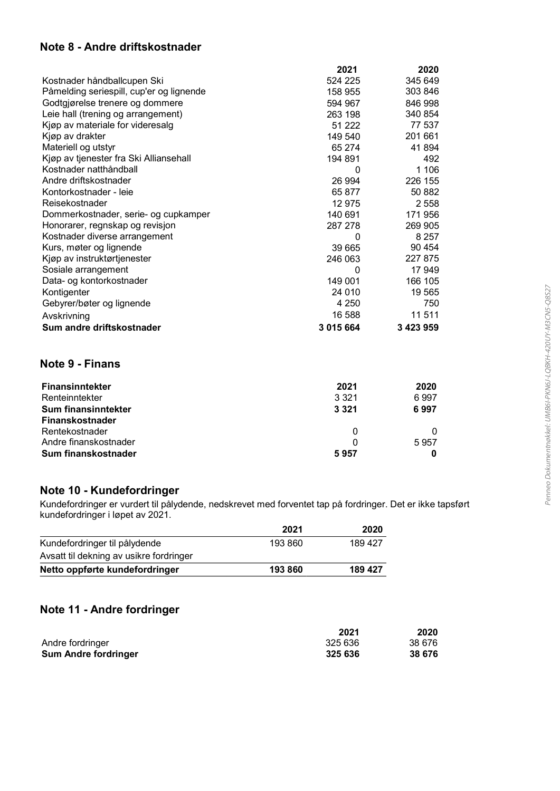#### Note 8 - Andre driftskostnader

|                                          | 2021      | 2020      |
|------------------------------------------|-----------|-----------|
| Kostnader håndballcupen Ski              | 524 225   | 345 649   |
| Påmelding seriespill, cup'er og lignende | 158 955   | 303 846   |
| Godtgjørelse trenere og dommere          | 594 967   | 846 998   |
| Leie hall (trening og arrangement)       | 263 198   | 340 854   |
| Kjøp av materiale for videresalg         | 51 222    | 77 537    |
| Kjøp av drakter                          | 149 540   | 201 661   |
| Materiell og utstyr                      | 65 274    | 41894     |
| Kjøp av tjenester fra Ski Alliansehall   | 194 891   | 492       |
| Kostnader natthåndball                   | 0         | 1 1 0 6   |
| Andre driftskostnader                    | 26 994    | 226 155   |
| Kontorkostnader - leie                   | 65 877    | 50 882    |
| Reisekostnader                           | 12 975    | 2558      |
| Dommerkostnader, serie- og cupkamper     | 140 691   | 171 956   |
| Honorarer, regnskap og revisjon          | 287 278   | 269 905   |
| Kostnader diverse arrangement            | 0         | 8 2 5 7   |
| Kurs, møter og lignende                  | 39 665    | 90 454    |
| Kjøp av instruktørtjenester              | 246 063   | 227 875   |
| Sosiale arrangement                      | 0         | 17 949    |
| Data- og kontorkostnader                 | 149 001   | 166 105   |
| Kontigenter                              | 24 010    | 19 565    |
| Gebyrer/bøter og lignende                | 4 2 5 0   | 750       |
| Avskrivning                              | 16 588    | 11 511    |
| Sum andre driftskostnader                | 3 015 664 | 3 423 959 |

#### Note 9 - Finans

| <b>Finansinntekter</b> | 2021    | 2020 |
|------------------------|---------|------|
| Renteinntekter         | 3 3 2 1 | 6997 |
| Sum finansinntekter    | 3 3 2 1 | 6997 |
| Finanskostnader        |         |      |
| Rentekostnader         | 0       |      |
| Andre finanskostnader  |         | 5957 |
| Sum finanskostnader    | 5957    |      |

#### Note 10 - Kundefordringer

Kundefordringer er vurdert til pålydende, nedskrevet med forventet tap på fordringer. Det er ikke tapsført<br>kundefordringer i løpet av 2021.

|                                         | 2021    | 2020    |
|-----------------------------------------|---------|---------|
| Kundefordringer til pålydende           | 193 860 | 189 427 |
| Avsatt til dekning av usikre fordringer |         |         |
| Netto oppførte kundefordringer          | 193 860 | 189 427 |

#### Note 11 - Andre fordringer

|                             | 2021    | 2020   |
|-----------------------------|---------|--------|
| Andre fordringer            | 325 636 | 38 676 |
| <b>Sum Andre fordringer</b> | 325 636 | 38 676 |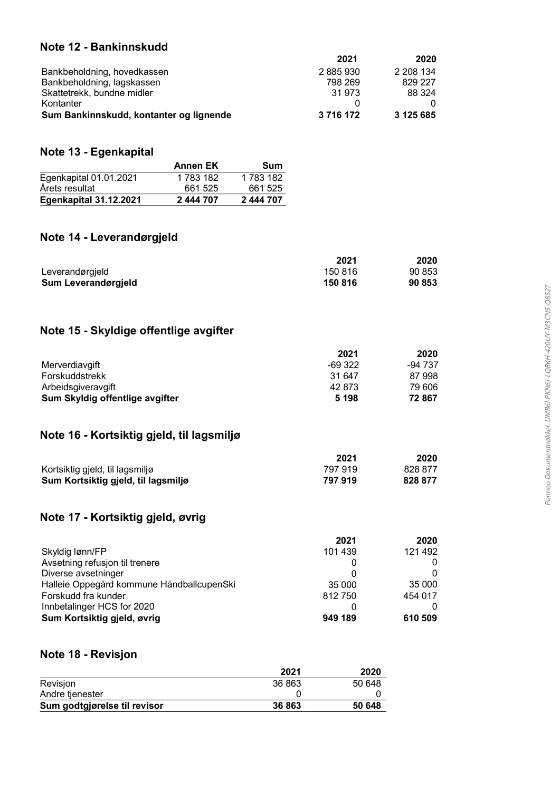#### Note 12 - Bankinnskudd

| 2021<br>2020           |
|------------------------|
| 2 208 134<br>2885930   |
| 829 227<br>798 269     |
| 31 973<br>88 324       |
|                        |
| 3 125 685<br>3 716 172 |
|                        |

#### Note 13 - Egenkapital

|                               | <b>Annen EK</b> | Sum       |
|-------------------------------|-----------------|-----------|
| Egenkapital 01.01.2021        | 1 783 182       | 1 783 182 |
| Årets resultat                | 661 525         | 661 525   |
| <b>Egenkapital 31.12.2021</b> | 2 444 707       | 2 444 707 |

#### Note 14 - Leverandørgjeld

|                     | 2021    | 2020   |
|---------------------|---------|--------|
| Leverandørgjeld     | 150 816 | 90 853 |
| Sum Leverandørgjeld | 150 816 | 90 853 |

#### Note 15 - Skyldige offentlige avgifter

|                                 | 2021    | 2020    |
|---------------------------------|---------|---------|
| Merverdiavgift                  | -69 322 | -94 737 |
| Forskuddstrekk                  | 31 647  | 87 998  |
| Arbeidsgiveravgift              | 42 873  | 79 606  |
| Sum Skyldig offentlige avgifter | 5 1 9 8 | 72867   |

#### Note 16 - Kortsiktig gjeld, til lagsmiljø

|                                     | 2021    | 2020    |
|-------------------------------------|---------|---------|
| Kortsiktig gjeld, til lagsmiljø     | 797 919 | 828 877 |
| Sum Kortsiktig gjeld, til lagsmiljø | 797 919 | 828 877 |

#### Note 17 - Kortsiktig gjeld, øvrig

|                                           | 2021     | 2020    |
|-------------------------------------------|----------|---------|
| Skyldig lønn/FP                           | 101 439  | 121 492 |
| Avsetning refusion til trenere            |          |         |
| Diverse avsetninger                       | 0        |         |
| Halleie Oppegård kommune HåndballcupenSki | 35 000   | 35 000  |
| Forskudd fra kunder                       | 812750   | 454 017 |
| Innbetalinger HCS for 2020                | $\Omega$ |         |
| Sum Kortsiktig gjeld, øvrig               | 949 189  | 610 509 |

#### Note 18 - Revisjon

|                              | 2021   | 2020   |
|------------------------------|--------|--------|
| Revisjon                     | 36 863 | 50 648 |
| Andre tjenester              |        |        |
| Sum godtgjørelse til revisor | 36 863 | 50 648 |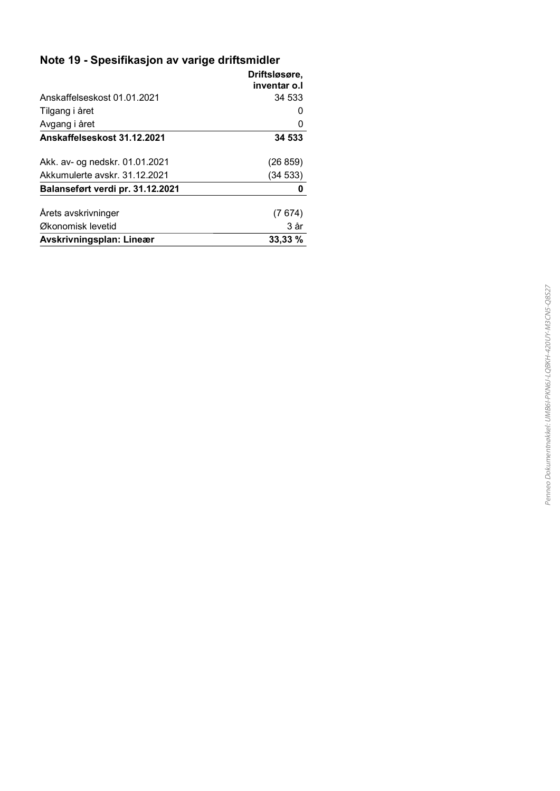### Note 19 - Spesifikasjon av varige driftsmidler

|                                  | Driftsløsøre, |
|----------------------------------|---------------|
|                                  | inventar o.l  |
| Anskaffelseskost 01.01.2021      | 34 533        |
| Tilgang i året                   |               |
| Avgang i året                    |               |
| Anskaffelseskost 31.12.2021      | 34 533        |
|                                  |               |
| Akk. av- og nedskr. 01.01.2021   | (26 859)      |
| Akkumulerte avskr. 31.12.2021    | (34 533)      |
| Balanseført verdi pr. 31.12.2021 | 0             |
| Arets avskrivninger              | (7 674)       |
|                                  |               |
| Økonomisk levetid                | 3 år          |
| Avskrivningsplan: Lineær         | 33,33 %       |